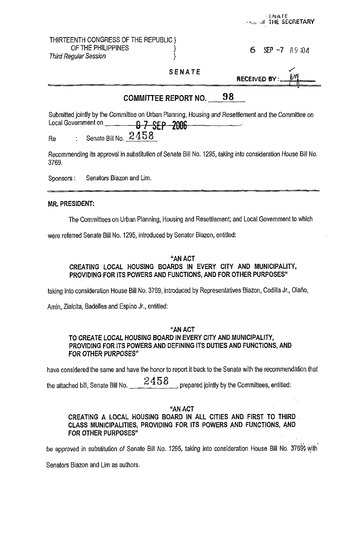|                                                                                                                                                                                                      |                      | ENATE<br><b>A BLU OF THE SECRETARY</b> |
|------------------------------------------------------------------------------------------------------------------------------------------------------------------------------------------------------|----------------------|----------------------------------------|
| THIRTEENTH CONGRESS OF THE REPUBLIC }<br>OF THE PHILIPPINES<br><b>Third Regular Session</b>                                                                                                          |                      | 6<br>$\text{SEP}$ -7 A9:04             |
|                                                                                                                                                                                                      | <b>SENATE</b>        | RECEIVED BY:                           |
|                                                                                                                                                                                                      | COMMITTEE REPORT NO. | 98                                     |
| Submitted jointly by the Committee on Urban Planning, Housing and Resettlement and the Committee on<br>Local Government on <b>67 SEP 2006</b><br>Senate Bill No. 2458<br>$\ddot{\cdot}$<br><b>Re</b> |                      |                                        |
| Recommending its approval in substitution of Senate Bill No. 1295, taking into consideration House Bill No.<br>3769.                                                                                 |                      |                                        |
| Senators Biazon and Lim.<br>Sponsors:                                                                                                                                                                |                      |                                        |
| <b>MR. PRESIDENT:</b>                                                                                                                                                                                |                      |                                        |

The Committees on Urban Planning, Housing and Resettlement; and Local Government to which

were referred Senate Bill No. 1295, introduced by Senator Biazon, entitled:

### "AN ACT CREATING LOCAL HOUSING BOARDS IN EVERY CITY AND MUNICIPALITY, PROVIDING FOR ITS POWERS AND FUNCTIONS, AND FOR OTHER PURPOSES"

taking into consideration House Bill No. 3769, introduced by Representatives Biazon, Codilla Jr., Olaño,

Amin, Zialcita, Badelles and Espino Jr., entitled:

#### "AN ACT

# TO CREATE LOCAL HOUSING BOARD IN EVERY CITY AND MUNICIPALITY, PROVIDING FOR ITS POWERS AND DEFINING ITS DUTIES AND FUNCTIONS, AND FOR OTHER PURPOSES"

have considered the same and have the honor to report it back to the Senate with the recommendation that

FOR OTHER PURPOSES"<br>have considered the same and have the honor to report it back to the Senate with the recommend<br>the attached bill, Senate Bill No.  $\frac{2458}{2}$ , prepared jointly by the Committees, entitled:

#### "AN ACT

## CREATING A LOCAL HOUSING BOARD IN ALL CITIES AND FIRST TO THIRD CLASS MUNICIPALITIES, PROVIDING FOR ITS POWERS AND FUNCTIONS, qND FOR OTHER PURPOSES"

**3.** .~ . be approved in substitution *of* Senate Bill **No.** 1295, taking into consideration House Bill No. 3769; with

Senators Biazon and Lim as authors.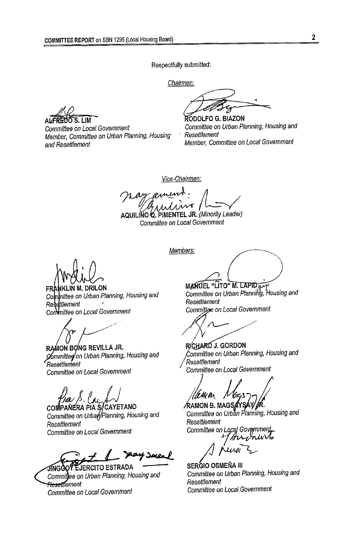*Respectfully submitted:* 

*Chairmen:* 

S I IM A **A** *A A A* 

*Committee on Local Government Member, Committee on Urban Planning, and Resettlement* 

n

**DOLFO** *G.* **BIAZON**  *Committee on Urban Planning, Housing and Member, Committee on Local Government*  , *Housing* ' *Resettlement* 

*Vice-chairman:* 

*Committee on Local Government* 

FRANKLIN M. DRILON Committee on Urban Planning, Housing and Resettlement  $\mathcal{L}$ Committee on Local Government

RAMON BONG REVILLA JR. Committed on Urban Planning, Housing and Resettlement *Committee on Local Government Commitfee on Local Government* 

COMPAÑERA PIA S/CAYETANO Committee on Urban/Planning, Housing and *Resettlement Committee on Local Government* 

Jeys

EJERCITO ESTRADA JINGGC Committee on Urban Planning, Housing and <del>Resettl</del>ement *Committee on Local Government Committee on Local Government* 

*Mars*<br> *Mars*<br> *Mars*<br> *Members:*<br> *Members:*<br> *Members:* 

MANUEL "LITO" M. LAPIDAL Committee on Urban Planning, Housing and Resettlement Committee on Local Government

RICHARD J. GORDON *g, Housing and*  Resettlement

∕RAMON B. MAGS∦ Committee on Urban Planning, Housing and Resettlement Committee on Local Government

SERGIO OSMEÑA III *Committee on Urban Planning, Housing and Resettlement*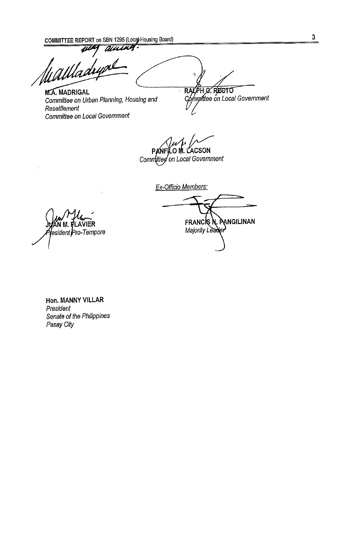**COMMITTEE REPORT** on SBN 1295 (Local Housing Board) 3<br> **444 AUCH** 

**M.A. MADRIGAL** *Committee on Urban Planning, Housing and Resettlement Committee on Local Government* 

RALPH O. RECTO Compittee on Local Government

**ACSON** 0 M. L Committee on Local Government

 $\bar{\mathbf{r}}$ 

*Ex-Officio Members:* 

FRANCIS N. PANGILINAN Majority Leader

∖N M. FLAVIER lesident Pro-Tempore

**Hon. MANNY VILLAR**  *President Senate of the Philippines Pasay City*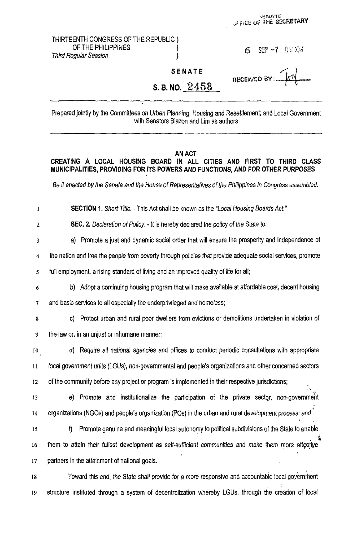THIRTEENTH CONGRESS OF THE REPUBLIC }<br>{ OF THE PHILIPPINES **Third Regular Session** 

**1 6 SEP** -7 **:**0.04

**HECEIVED BY:** 

ENATE<br>FILE OF THE SECRETARY

**SENATE** 

# S. B. NO.  $2458$

Prepared jointly by the Committees on Urban Planning, Housing and Resettlement; and Local Government with Senators Biazon and Lim as authors

#### **AN ACT**

**CREATING A LOCAL HOUSING BOARD IN ALL CITIES AND FIRST TO THIRD CLASS MUNICIPALITIES, PROVIDING FOR ITS POWERS AND FUNCTIONS, AND FOR OTHER PURPOSES** 

Be it enacted by the Senate and the House of Representatives of the Philippines in Congress assembled:

I **SECTION 1.** Short Title. - This Act shall be known as the "Local Housing Boards Act."

**2 SEC. 2.** Declaration of Policy. - It is hereby declared the policy of the State to:

**3**  a) Promote a just and dynamic social order that will ensure the prosperity and independence of

**4**  the nation and free the people from poverty through policies that provide adequate social services, promote

**s**  full employment, a rising standard of living and an improved quality of life for all;

**6**  b) Adopt a continuing housing program that will make available at affordable cost, decent housing

**7**  and basic services to all especially the underprivileged and homeless;

**8**  c) Protect urban and rural poor dwellers from evictions or demolitions undertaken in violation of

**9**  the.law or, in an unjust or inhumane manner;

**10 1** I **12**  d) Require all national agencies and offices to conduct periodic consultations with appropriate local government units (LGUs), non-governmental and people's organizations and other concerned sectors of the community before any project or program is implemented in their respective jurisdictions;

**13**  14 e) Promote and institutionalize the participation of the private sector, non-government organizations (NGOs) and people's organization (POs) in the urban and rural development process; *and'* 

**15 16 17 9** Promote genuine and meaningful local autonomy to political subdivisions of the State to enable them to attain their fullest development as self-sufficient communities and make them more effective partners in the attainment of national goals. *i* '\*

**I8**  Toward this end, the State shall provide for a more responsive and accountable local government *19* structure instituted through a system of decentralization whereby LGUs, through the creation of focal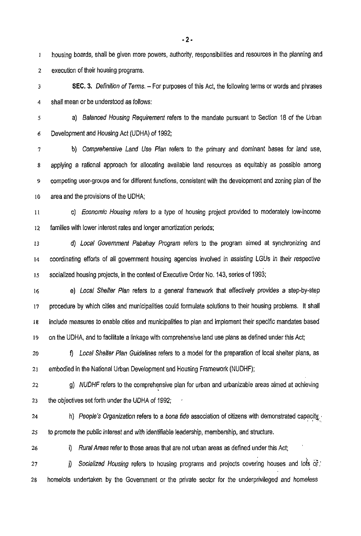**1**  2 housing boards, shall be given more powers, authority, responsibilities and resources in the planning and execution of their housing programs.

**3 4 SEC. 3.** Definition of Terms. - For purposes of this Act, the following terms or words and phrases shall mean or be understood as follows:

**5 6**  a) Balanced Housing Requirement refers to the mandate pursuant to Section 18 of the Urban Development and Housing Act (UDHA) of 1992;

**7 8 9 IO**  b) Comprehensive Land Use Plan refers to the primary and dominant bases for land use, applying a rational approach for allocating available land resources as equitably as possible among competing user-groups and for different functions, consistent with the development and zoning plan of the area and the provisions of the UDHA;

II **I2**  c) Economic Housing refers to a type of housing project provided to moderately low-income families with lower interest rates and longer amortization periods;

13 14 **15**  d) Local Government Pabahay Program refers to the program aimed at synchronizing and coordinating efforts of all government housing agencies involved in assisting LGUS in their respective socialized housing projects, in the context of Executive Order No. 143, series of 1993;

**16 17 I8 19**  e) Local Shelter Plan refers to a general framework that effectively provides a step-by-step procedure by which cities and municipalities could formulate solutions to their housing problems. It shall include measures to enable cities and municipalities to plan and implement their specific mandates based on the UDHA, and to facilitate a linkage with comprehensive land use plans as defined under this Act;

20 **21**  *f)* Local Shelter Plan Guidelines refers to a model for the preparation of local shelter plans, as embodied in the National Urban Development and Housing Framework (NUDHF);

**22 23**  g) *NUDHF* refers to the comprehensive plan for urban and urbanizable areas aimed at achieving the objectives set forth under the UDHA of 1992;

**24 25**  h) People's Organization refers to a bona fide association of citizens with demonstrated capacity,  $\cdot$ to promote the public interest and with identifiable leadership, membership, and structure.

**26** 

i) Rural Areas refer to those areas that are not urban areas as defined under this Act;

**27**  j) Socialized Housing refers to housing programs and projects covering houses and lots of ; 28 homelots undertaken by the Government or the private sector for the underprivileged and homeless

**-2-**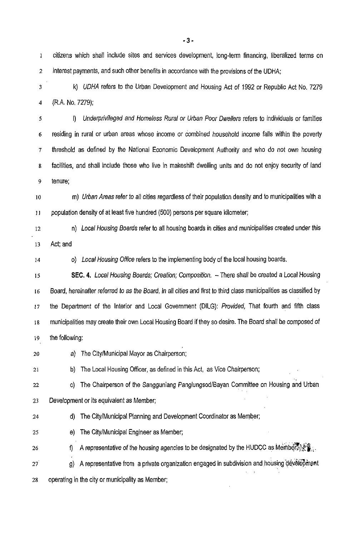**1**  2 citizens which shall include sites and services development, long-term financing, liberalized terms on interest payments, and such other benefits in accordance with the provisions of the UDHA;

3 4 k) UDHA refers to the Urban Development and Housing Act of 1992 or Republic Act **No.** 7279 (R.A. No. 7279):

5 6 *7*  8 9 I) Underprivileged and Homeless Rural or Urban Poor Dwellers refers to individuals or families residing in rural or urban areas whose income or combined household income falls within the poverty threshold as defined by the National Economic Development Authority and who do not own housing facilities, and shall include those who live in makeshift dwelling units and do not enjoy security of land tenure;

IO 11 m) Urban Areas refer to all cities regardless of their population density and to municipalities with a population density of at least five hundred (500) persons per square kilometer:

12 13 n) Local Housing Boards refer to all housing boards in cities and municipalities created under this Act; and

14

*0)* Local Housing Office refers to the implementing body of the local housing boards.

15 16 17 **18**  19 **SEC. 4.** Local Housing Boards; Creation; Composition. - There shall be created a Local Housing Board, hereinafter referred to as the Board, in all cities and first to third class municipalities as classified by the Department of the Interior and Local Government (DILG): Provided, That fourth and fifth class municipalities may create their own Local Housing Board if they so desire. The Board shall be composed of the following:

*20*  a) The CitylMunicipal Mayor as Chairperson:

**21**  b) The Local Housing Officer, as defined in this Act, as Vice Chairperson:

22 23 c) The Chairperson of the Sangguniang PanglungsodlBayan Committee **on** Housing and Urban Development or its equivalent as Member;

- 24 d) The CitylMunicipal Planning and Development Coordinator as Member;
- 25 e) The CitylMunicipal Engineer as Member;

26 <mark>9)</mark> The City/Municipal Engineer as Member;<br>f) A representative of the housing agencies to be designated by the HUDCC as:Members:逆

27' g) A representative from a private organization engaged in subdivision and housing development 8 28 operating in the city or municipality as Member;

**-3-**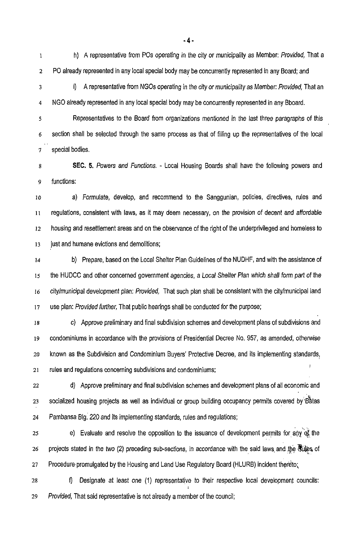1 **2**  h) A representative from POs operating in the city or municipality as Member: Provided, That a PO already represented in any local special body may be concurrently represented in any Board; and

**3** 

**4** 

i) A representative from NGOs operating in the city or municipality as Member: Provided, That an NGO already represented in any local special body may be concurrently represented in any Bboard.

*5*  **6**  Representatives to the Board from organizations mentioned in the last three paragraphs of this section shall be selected through the same process as that *of* filling up the representatives of the local *I*  special bodies.

**8 9 SEC. 5.** Powers and Functions. - Local Housing Boards shall have the following powers and functions:

10 **11 12 13**  a) Formulate, develop, and recommend to the Sanggunian, policies, directives, rules and regulations, consistent with laws, as it may deem necessary, on the provision of decent and affordable housing and resettlement areas and on the observance of the right of the underprivileged and homeless to just and humane evictions and demolitions;

**14 15 16 17**  b) Prepare, based on the Local Shelter Plan Guidelines of the NUDHF, and with the assistance of the HUDCC and other concerned government agencies, a Local Shelter Plan which shall form part of the city/municipal development plan: Provided, That such plan shall be consistent with the citylmunicipal land use plan: Provided further, That public hearings shall be conducted for the purpose;

**18 19 20**  21 c) Approve preliminary and final subdivision schemes and development plans of subdivisions and condominiums in accordance with the provisions of Presidential Decree No. 957, as amended, otherwise known as the Subdivision and Condominium Buyers' Protective Decree, and its implementing standards, rules and regulations concerning subdivisions and condominiums;

**22 23**  24 d) Approve preliminary and final subdivision schemes and development plans of all economic and socialized housing projects as well as individual or group building occupancy permits covered by Batas Pambansa Blg. 220 and its implementing standards, rules and regulations;

**25 26 21**  ,  $\mathbf{v}_1$ e) Evaluate and resolve the opposition to the issuance of development permits for any of the projects stated in the two (2) preceding sub-sections, in accordance with the said laws and the Rules of Procedure promulgated by the Housing and Land Use Regulatory Board (HLURB) incident thereto; ,,

**28**  f) Designate at least one (1) representative to their respective local development councils: **29** Provided, That said representative is not already a member of the council;

**-4-**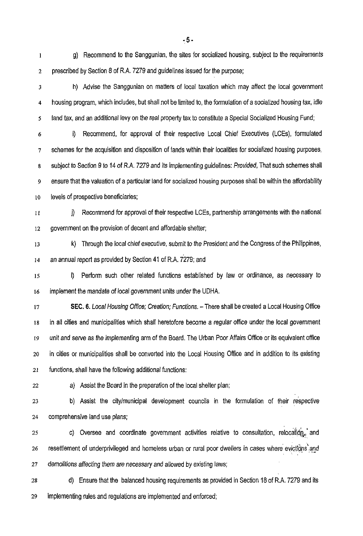**1 2**  g) Recommend to the Sanggunian, the sites for socialized housing, subject to the requirements prescribed by Section 8 of R.A. *7279* and guidelines issued for the purpose;

**3 4 5**  h) Advise the Sanggunian on matters of local taxation which may affect the local government housing program, which includes, but shall not be limited to, the formulation of a socialized housing tax, idle land tax, and an additional levy on the real property tax to constitute a Special Socialized Housing Fund

**6**  *I*  **8 9 10**  i) Recommend, for approval of their respective Local Chief Executives (LCEs), formulated schemes for the acquisition and disposition of lands within their localities for socialized housing purposes, subject to Section *9* to 14 *of* R.A. *7279* and its implementing guidelines: Provided, That such schemes shall ensure that the valuation of a particular land for socialized housing purposes shall be within the affordability levels of prospective beneficiaries;

**11 12**  j) Recommend for approval of their respective LCEs, partnership arrangements with the national government on the provision of decent and affordable shelter;

**13 14 k)** Through the local chief executive, submit to the President and the Congress of the Philippines, an annual report as provided by Section 41 of R.A. *7279;* and

**15 16**  I) Perform such other related functions established by law or ordinance, as necessary to implement the mandate of local government units under the UDHA.

**17 18 19 20 21 SEC. 6.** Local Housing Office; Creation; Functions. - There shall be created a Local Housing Office in all cities and municipalities which shall heretofore become a regular office under the local government unit and serve as the implementing arm of the Board. The Urban Poor Affairs Office or its equivalent office in cities or municipalities shall be converted into the Local Housing Office and in addition to its existing functions, shall have the following additional functions:

22

a) Assist the Board in the preparation of the local shelter plan;

**23 24**  b) Assist the citylmunicipal development councils in the formulation of their respective comprehensive land use plans;

**25 26 27**  c). Oversee and coordinate government activities relative to consultation, relocation, and resettlement of underprivileged and homeless urban or rural poor dwellers in cases where evictions and demolitions affecting them are necessary and allowed **by** existing laws; ', ,

**28 29**  d) Ensure that the balanced housing requirements as provided in Section 18 of R.A. *7279* and its implementing rules and regulations are implemented and enforced;

., **5** -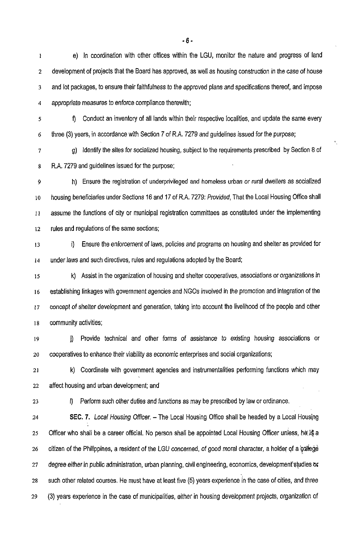1 2 3 4 e) In coordination with other oftices within the LGU, monitor the nature and progress of land development of projects that the Board has approved, as well as housing construction in the case of house and lot packages, to ensure their faithfulness to the approved plans and specifications thereof, and impose appropriate measures to enforce compliance therewith;

**5** 

*6* 

**9** Conduct an inventory of all lands within their respective localities, and update the same every three (3) years, in accordance with Section 7 of R.A. 7279 and guidelines issued for the purpose;

**7 S**  g) Identify the sites for socialized housing, subject to the requirements prescribed by Section 8 of R.A. 7279 and guidelines issued for the purpose;

**9 10**  11 **12**  h) Ensure the registration of underprivileged and homeless urban *or* rural dwellers as socialized housing beneficiaries under Sections 16 and **17** of R.A. 7279: Provided, That the Local Housing Office shall assume the functions of city or municipal registration committees as constituted under the implementing rules and regulations of the same sections;

13 **14**  i) Ensure the enforcement *of* laws, policies and programs on housing and shelter as provided for under laws and such directives, rules and regulations adopted by the Board;

15 **16 17**  18 k) Assist in the organization of housing and shelter cooperatives, associations or organizations in establishing linkages with government agencies and NGOs involved in the promotion and integration of the concept of shelter development and generation, taking into account the livelihood of the people and other community activities;

19 *20*  j) Provide technical and other forms of assistance to existing housing associations or cooperatives to enhance their viability as economic enterprises and social organizations;

21 22 k) Coordinate with government agencies and instrumentalities performing functions which may affect housing and urban development; and

23

I) Perform such other duties and functions as may be prescribed by law or ordinance.

**24**  25 **26**  27 28 29 **SEC. 7.** *Local Housing Officer.* - The Local Housing Office shall be headed by a Local Housing Officer who shall be a career official. No person shall be appointed Local Housing Officer unless, he is a citizen of the Philippines, a resident of the LGU concerned, of good moral character, a holder of a **callege** degree either in public administration, urban planning, civil engineering, economics, development studies or such other related courses. He must have at least five (5) years experience in the case of cities, and three (3) years experience in the case of municipalities, either in housing development projects, organization of

*-6-*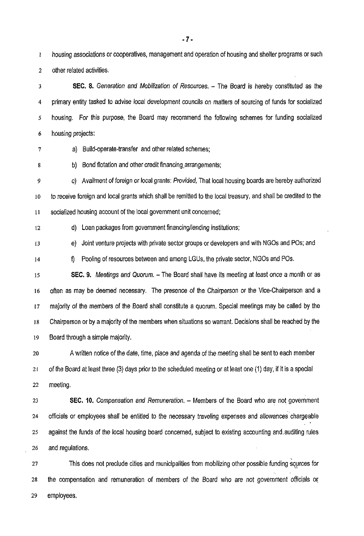**1 2**  housing associations or cooperatives, management and operation of housing and shelter programs or such other related activities.

**3 4 5 6 SEC. 8.** Generation and Mobilization of Resources. - The Board is hereby constituted as the primary entity tasked to advise local development councils on matters of sourcing of funds for socialized housing. For this purpose, the Board may recommend the following schemes for funding socialized housing projects:

*I* 

a) Build-operate-transfer and other related schemes;

b) Bond flotation and other credit financing arrangements;

*9*  10 **11**  c) Availment of foreign or local grants: Provided, That local housing boards are hereby authorized to receive foreign and local grants which shall be remitted to the local treasury, and shall be credited to the socialized housing account of the local government unit concerned;

**12** 

**8** 

d) Loan packages from government financing/lending institutions;

**13**  e) Joint venture projects with private sector groups or developers and with NGOs and POs; and

**14 9** Pooling of resources between and among LGUs, the private sector, NGOs and POs.

**15 16 17 18 19 SEC. 9.** Meetings and Quorum. - The Board shall have its meeting at least once a month or as oflen as may be deemed necessary. The presence *of* the Chairperson or !he Vice-Chairperson and a majority of the members of the Board shall constitute a quorum. Special meetings may be called by the Chairperson or by a majority of the members when situations so warrant. Decisions shall be reached by the Board through a simple majority.

**20 21 22**  A written notice of the date, time, place and agenda *of* the meeting shall be sent to each member of the Board at least three (3) days prior to the scheduled meeting or at least one (1) day, if it is a special meeting.

**23 24 25 26 SEC. 10.** Compensation and Remuneration. - Members of the Board who are not government officials or employees shall be entitled to the necessary traveling expenses and allowances chargeable against the funds of the local housing board concerned, subject to existing accounting and,auditing rules and regulations.

**27 28 29**  This does not preclude cities and municipalities from mobilizing other possible funding squrces for the compensation and remuneration of members of the Board who are not government officials OF employees.

**-7-**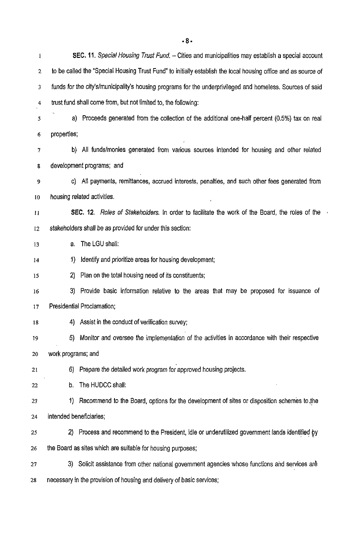I 2 3 4 *5*  6 **7**  8 *9*  **10**  *11*  12 13 **14 15**  16 17 **18**  19 20 **21**  22 23 24 25 26 27 **SEC. 11.** Special Housing Trust Fund. - Cities and municipalities may establish a special account to be called the "Special Housing Trust Fund" to initially establish the local housing office and as source of funds for the city'slmunicipality's housing programs for the underprivileged and homeless. Sources of said trust fund shall come from, but not limited to, the following: a) Proceeds generated from the collection of the additional one-half percent (0.5%) tax on real properties; b) All funds/monies generated from various sources intended for housing and other related development programs; and c) All payments, remittances, accrued interests, penalties, and such other fees generated from housing related activities. **SEC. 12.** Roles of Stakeholders. In order to facilitate the work of the Board, the roles of the stakeholders shall be as provided for under this section: a. The LGU shall: 1) Identify and prioritize areas for housing development; **2)** Plan on the total housing need of its constituents; 3) Provide basic information relative to the areas that may be proposed for issuance of Presidential Proclamation; 4) Assist in the conduct of verification survey; 5) Monitor and oversee the implementation of the activities in accordance with their respective work programs; and 6) Prepare the detailed work program for approved housing projects. b. The HUDCC shall: 1) Recommend to the Board, options for the development of sites or disposition schemes to the intended beneficiaries; 2) Process and recommend to the President, idle or underutilized government lands identified by the Board as sites which are suitable for housing purposes; 3) Solicit assistance from other national government agencies whose functions and services ar& 28 necessary in the provision of housing and delivery of basic services;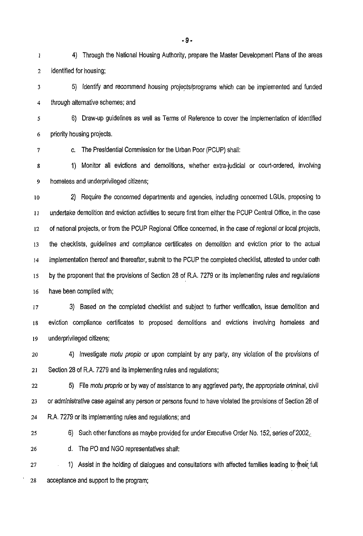**1 2**  4) Through the National Housing Authority, prepare the Master Development Plans of the areas identified for housing;

**3 4**  5) Identify and recommend housing projects/programs which can be implemented and funded through alternative schemes; and

**5 6**  6) Draw-up guidelines as well as Terms of Reference to cover the implementation of identified priority housing projects.

c. The Presidential Commission for the Urban Poor (PCUP) shall:

**7** 

*8 9*  1) Monitor all evictions and demolitions, whether extra-judicial or court-ordered, involving homeless and underprivileged citizens;

**10 11 12 13 14 15 16**  2) Require the concerned departments and agencies, including concerned LGUs, proposing to undertake demolition and eviction activities to secure first from either the PCUP Central Office, in the case of national projects, or from the PCUP Regional Office concerned, in the case of regional or local projects, the checklists, guidelines and compliance certificates on demolition and eviction prior to the actual implementation thereof and thereafter, submit to the PCUP the completed checklist, attested to under oath by the proponent that the provisions of Section 28 of R.A. 7279 or its implementing rules and regulations have been complied with;

**17 18**  19 3) Based on the completed checklist and subject to further verification, issue demolition and eviction compliance certificates to proposed demolitions and evictions involving homeless and underprivileged citizens;

*20*  **21**  4) Investigate *motu propio* or upon complaint by any party, any violation of the provisions of Section 28 of R.A. 7279 and its implementing rules and regulations;

**22 23 24**  5) File *motu* proprio or by way of assistance to any aggrieved party, the appropriate criminal, civil or administrative case against any person or persons found to have violated the provisions of Section 28 of R.A. 7279 or its implementing rules and regulations; and

**25**  6) Such other functions as maybe provided for under Executive Order No. 152, series of 2002,

**26**  d. The PO and NGO representatives shall:

**27**  1) Assist in the holding of dialogues and consultations with affected families leading to their full *28* acceptance and support to the program;

**-9-**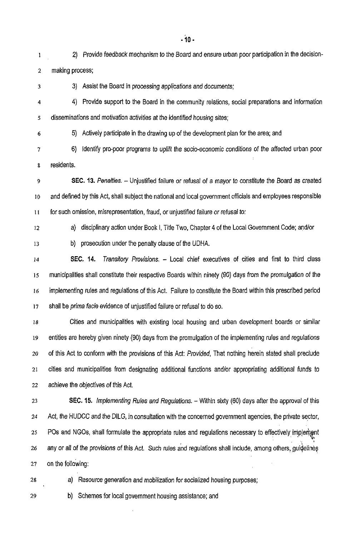1 2 making process; *2)* Provide feedback mechanism to the Board and ensure urban poor participation in the decision-

- 3) Assist the Board in processing applications and documents;
- **4 5**  4) Provide support to the Board in the community relations, social preparations and information disseminations and motivation activities at the identified housing sites;
- 6

3

5) Actively participate in the drawing up of the development plan for the area; and

**7 8**  6) Identify pro-poor programs to uplift the socio-economic conditions of the affected urban poor residents.

9 **10 11 SEC. 13.** Penalties. - Unjustified failure or refusal of a mayor to constitute the Board as created and defined by this Act, shall subject the national and local government officials and employees responsible for such omission, misrepresentation, fraud, or unjustified failure or refusal to:

12

13

a) disciplinary action under Book I, Title Two, Chapter 4 of the Local Government Code; and/or

- b) prosecution under the penalty clause of the UDHA.
- **14 15 SEC. 14.** Transitory Provisions. - Local chief executives of cities and first to third class municipalities shall constitute their respective Boards within ninety *(90)* days from the promulgation of the **16 17**  implementing rules and regulations of this Act. Failure to constitute the Board within this prescribed period shall be prima facie evidence of unjustified failure or refusal to do so.

**18**  19 **20 21 22**  Cities and municipalities with existing local housing and urban development boards or similar entities are hereby given ninety (90) days from the promulgation of the implementing rules and regulations of this Act to conform with the provisions of this Act: Provided, That nothing herein stated shall preclude cities and municipalities from designating additional functions and/or appropriating additional funds to achieve the objectives of this Act.

23 **24 25**  26 **27** on the following: **SEC. 15.** *Implementing Rules and Regulations.* - Within sixty (60) days after the approval of this Act, the HUDCC and the DILG, in consultation with the concerned government agencies, the private sector, POs and NGOs, shall formulate the appropriate rules and regulations necessary to effectively implement<br>\* , any or all of the provisions of this Act. Such rules and regulations shall include, among others, guidelines

- 
- 28 a) Resource generation and mobilization *for* socialized housing purposes;

29 b) Schemes for local government housing assistance; and